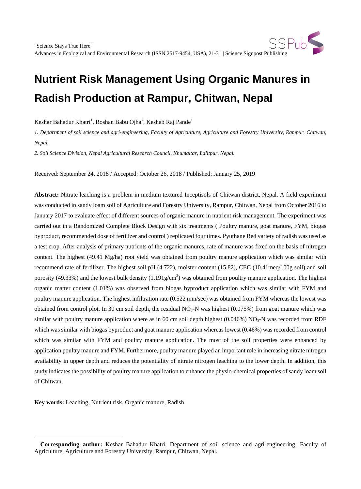# **Nutrient Risk Management Using Organic Manures in Radish Production at Rampur, Chitwan, Nepal**

Keshar Bahadur Khatri<sup>1</sup>, Roshan Babu Ojha<sup>2</sup>, Keshab Raj Pande<sup>1</sup>

*1. Department of soil science and agri-engineering, Faculty of Agriculture, Agriculture and Forestry University, Rampur, Chitwan, Nepal.*

*2. Soil Science Division, Nepal Agricultural Research Council, Khumaltar, Lalitpur, Nepal.*

Received: September 24, 2018 / Accepted: October 26, 2018 / Published: January 25, 2019

**Abstract:** Nitrate leaching is a problem in medium textured Inceptisols of Chitwan district, Nepal. A field experiment was conducted in sandy loam soil of Agriculture and Forestry University, Rampur, Chitwan, Nepal from October 2016 to January 2017 to evaluate effect of different sources of organic manure in nutrient risk management. The experiment was carried out in a Randomized Complete Block Design with six treatments ( Poultry manure, goat manure, FYM, biogas byproduct, recommended dose of fertilizer and control ) replicated four times. Pyuthane Red variety of radish was used as a test crop. After analysis of primary nutrients of the organic manures, rate of manure was fixed on the basis of nitrogen content. The highest (49.41 Mg/ha) root yield was obtained from poultry manure application which was similar with recommend rate of fertilizer. The highest soil pH (4.722), moister content (15.82), CEC (10.41meq/100g soil) and soil porosity (49.33%) and the lowest bulk density  $(1.191g/cm<sup>3</sup>)$  was obtained from poultry manure application. The highest organic matter content (1.01%) was observed from biogas byproduct application which was similar with FYM and poultry manure application. The highest infiltration rate (0.522 mm/sec) was obtained from FYM whereas the lowest was obtained from control plot. In 30 cm soil depth, the residual  $NO<sub>3</sub>-N$  was highest (0.075%) from goat manure which was similar with poultry manure application where as in 60 cm soil depth highest  $(0.046%)$  NO<sub>3</sub>-N was recorded from RDF which was similar with biogas byproduct and goat manure application whereas lowest (0.46%) was recorded from control which was similar with FYM and poultry manure application. The most of the soil properties were enhanced by application poultry manure and FYM. Furthermore, poultry manure played an important role in increasing nitrate nitrogen availability in upper depth and reduces the potentiality of nitrate nitrogen leaching to the lower depth. In addition, this study indicates the possibility of poultry manure application to enhance the physio-chemical properties of sandy loam soil of Chitwan.

**Key words:** Leaching, Nutrient risk, Organic manure, Radish

 $\overline{a}$ 

<span id="page-0-0"></span>**Corresponding author:** Keshar Bahadur Khatri, Department of soil science and agri-engineering, Faculty of Agriculture, Agriculture and Forestry University, Rampur, Chitwan, Nepal.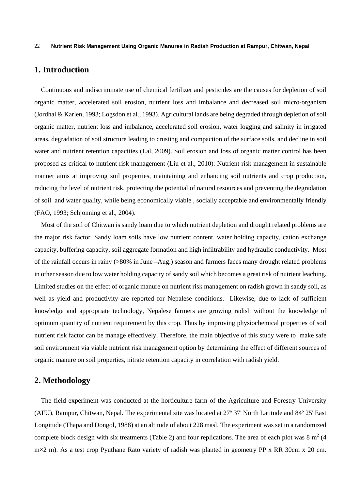## **1. Introduction**

Continuous and indiscriminate use of chemical fertilizer and pesticides are the causes for depletion of soil organic matter, accelerated soil erosion, nutrient loss and imbalance and decreased soil micro-organism (Jordhal & Karlen, 1993; Logsdon et al., 1993). Agricultural lands are being degraded through depletion of soil organic matter, nutrient loss and imbalance, accelerated soil erosion, water logging and salinity in irrigated areas, degradation of soil structure leading to crusting and compaction of the surface soils, and decline in soil water and nutrient retention capacities (Lal, 2009). Soil erosion and loss of organic matter control has been proposed as critical to nutrient risk management (Liu et al., 2010). Nutrient risk management in sustainable manner aims at improving soil properties, maintaining and enhancing soil nutrients and crop production, reducing the level of nutrient risk, protecting the potential of natural resources and preventing the degradation of soil and water quality, while being economically viable , socially acceptable and environmentally friendly (FAO, 1993; Schjonning et al., 2004).

Most of the soil of Chitwan is sandy loam due to which nutrient depletion and drought related problems are the major risk factor. Sandy loam soils have low nutrient content, water holding capacity, cation exchange capacity, buffering capacity, soil aggregate formation and high infiltrability and hydraulic conductivity. Most of the rainfall occurs in rainy (>80% in June –Aug.) season and farmers faces many drought related problems in other season due to low water holding capacity of sandy soil which becomes a great risk of nutrient leaching. Limited studies on the effect of organic manure on nutrient risk management on radish grown in sandy soil, as well as yield and productivity are reported for Nepalese conditions. Likewise, due to lack of sufficient knowledge and appropriate technology, Nepalese farmers are growing radish without the knowledge of optimum quantity of nutrient requirement by this crop. Thus by improving physiochemical properties of soil nutrient risk factor can be manage effectively. Therefore, the main objective of this study were to make safe soil environment via viable nutrient risk management option by determining the effect of different sources of organic manure on soil properties, nitrate retention capacity in correlation with radish yield.

# **2. Methodology**

The field experiment was conducted at the horticulture farm of the Agriculture and Forestry University (AFU), Rampur, Chitwan, Nepal. The experimental site was located at 27º 37' North Latitude and 84º 25' East Longitude (Thapa and Dongol, 1988) at an altitude of about 228 masl. The experiment was set in a randomized complete block design with six treatments (Table 2) and four replications. The area of each plot was  $8 \text{ m}^2$  (4)  $m \times 2$  m). As a test crop Pyuthane Rato variety of radish was planted in geometry PP x RR 30cm x 20 cm.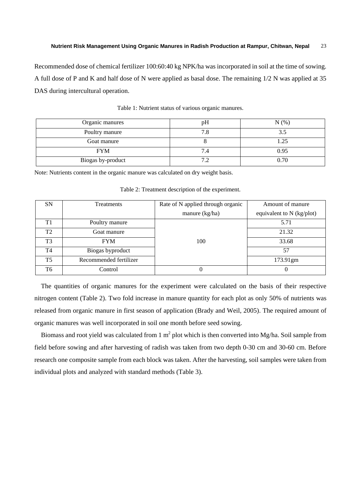Recommended dose of chemical fertilizer 100:60:40 kg NPK/ha was incorporated in soil at the time of sowing. A full dose of P and K and half dose of N were applied as basal dose. The remaining 1/2 N was applied at 35 DAS during intercultural operation.

| Organic manures   | рH  | N(%) |
|-------------------|-----|------|
| Poultry manure    |     | 3.5  |
| Goat manure       |     | 1.25 |
| <b>FYM</b>        | 7.4 | 0.95 |
| Biogas by-product |     | 0.70 |

Table 1: Nutrient status of various organic manures.

Note: Nutrients content in the organic manure was calculated on dry weight basis.

| <b>SN</b>      | <b>Treatments</b>      | Rate of N applied through organic | Amount of manure            |
|----------------|------------------------|-----------------------------------|-----------------------------|
|                |                        | manure (kg/ha)                    | equivalent to $N$ (kg/plot) |
| T1             | Poultry manure         |                                   | 5.71                        |
| T <sub>2</sub> | Goat manure            |                                   | 21.32                       |
| T <sub>3</sub> | <b>FYM</b>             | 100                               | 33.68                       |
| T <sub>4</sub> | Biogas byproduct       |                                   | 57                          |
| <b>T5</b>      | Recommended fertilizer |                                   | 173.91gm                    |
| T <sub>6</sub> | Control                |                                   | 0                           |

Table 2: Treatment description of the experiment.

The quantities of organic manures for the experiment were calculated on the basis of their respective nitrogen content (Table 2). Two fold increase in manure quantity for each plot as only 50% of nutrients was released from organic manure in first season of application (Brady and Weil, 2005). The required amount of organic manures was well incorporated in soil one month before seed sowing.

Biomass and root yield was calculated from 1  $m^2$  plot which is then converted into Mg/ha. Soil sample from field before sowing and after harvesting of radish was taken from two depth 0-30 cm and 30-60 cm. Before research one composite sample from each block was taken. After the harvesting, soil samples were taken from individual plots and analyzed with standard methods (Table 3).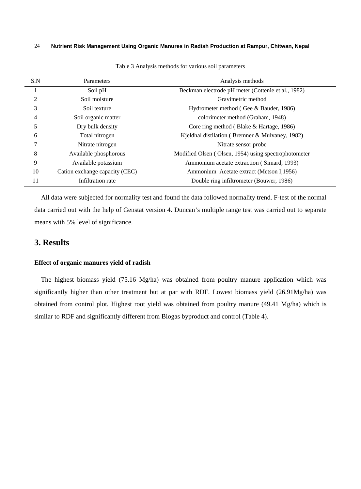| S.N            | Parameters                     | Analysis methods                                     |
|----------------|--------------------------------|------------------------------------------------------|
|                | Soil pH                        | Beckman electrode pH meter (Cottenie et al., 1982)   |
| $\overline{2}$ | Soil moisture                  | Gravimetric method                                   |
| 3              | Soil texture                   | Hydrometer method (Gee & Bauder, 1986)               |
| 4              | Soil organic matter            | colorimeter method (Graham, 1948)                    |
| 5              | Dry bulk density               | Core ring method (Blake & Hartage, 1986)             |
| 6              | Total nitrogen                 | Kjeldhal distilation (Bremner & Mulvaney, 1982)      |
| 7              | Nitrate nitrogen               | Nitrate sensor probe                                 |
| 8              | Available phosphorous          | Modified Olsen (Olsen, 1954) using spectrophotometer |
| 9              | Available potassium            | Ammonium acetate extraction (Simard, 1993)           |
| 10             | Cation exchange capacity (CEC) | Ammonium Acetate extract (Metson I, 1956)            |
| 11             | Infiltration rate              | Double ring infiltrometer (Bouwer, 1986)             |

Table 3 Analysis methods for various soil parameters

All data were subjected for normality test and found the data followed normality trend. F-test of the normal data carried out with the help of Genstat version 4. Duncan's multiple range test was carried out to separate means with 5% level of significance.

## **3. Results**

#### **Effect of organic manures yield of radish**

The highest biomass yield (75.16 Mg/ha) was obtained from poultry manure application which was significantly higher than other treatment but at par with RDF. Lowest biomass yield (26.91Mg/ha) was obtained from control plot. Highest root yield was obtained from poultry manure (49.41 Mg/ha) which is similar to RDF and significantly different from Biogas byproduct and control (Table 4).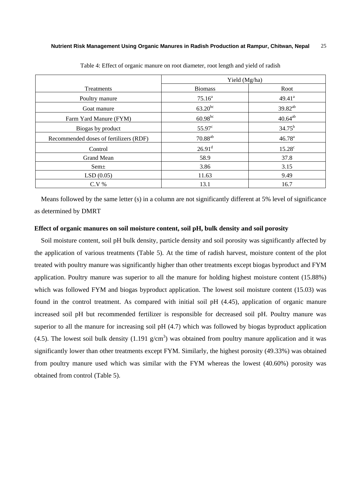|                                        | Yield (Mg/ha)         |                     |
|----------------------------------------|-----------------------|---------------------|
| <b>Treatments</b>                      | <b>Biomass</b>        | Root                |
| Poultry manure                         | $75.16^a$             | 49.41 <sup>a</sup>  |
| Goat manure                            | $63.20^{bc}$          | 39.82 <sup>ab</sup> |
| Farm Yard Manure (FYM)                 | $60.98^{bc}$          | $40.64^{ab}$        |
| Biogas by product                      | 55.97 <sup>c</sup>    | $34.75^{b}$         |
| Recommended doses of fertilizers (RDF) | $70.88$ <sup>ab</sup> | $46.78^{a}$         |
| Control                                | 26.91 <sup>d</sup>    | $15.28^{\circ}$     |
| <b>Grand Mean</b>                      | 58.9                  | 37.8                |
| Sem <sup>±</sup>                       | 3.86                  | 3.15                |
| LSD(0.05)                              | 11.63                 | 9.49                |
| $C.V.$ %                               | 13.1                  | 16.7                |

Table 4: Effect of organic manure on root diameter, root length and yield of radish

Means followed by the same letter (s) in a column are not significantly different at 5% level of significance as determined by DMRT

#### **Effect of organic manures on soil moisture content, soil pH, bulk density and soil porosity**

Soil moisture content, soil pH bulk density, particle density and soil porosity was significantly affected by the application of various treatments (Table 5). At the time of radish harvest, moisture content of the plot treated with poultry manure was significantly higher than other treatments except biogas byproduct and FYM application. Poultry manure was superior to all the manure for holding highest moisture content (15.88%) which was followed FYM and biogas byproduct application. The lowest soil moisture content (15.03) was found in the control treatment. As compared with initial soil pH (4.45), application of organic manure increased soil pH but recommended fertilizer is responsible for decreased soil pH. Poultry manure was superior to all the manure for increasing soil pH  $(4.7)$  which was followed by biogas byproduct application (4.5). The lowest soil bulk density (1.191  $g/cm<sup>3</sup>$ ) was obtained from poultry manure application and it was significantly lower than other treatments except FYM. Similarly, the highest porosity (49.33%) was obtained from poultry manure used which was similar with the FYM whereas the lowest (40.60%) porosity was obtained from control (Table 5).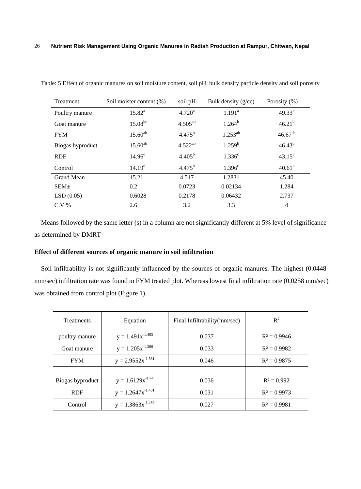| Treatment         | Soil moister content (%) | soil pH      | Bulk density $(g/cc)$ | Porosity $(\% )$ |
|-------------------|--------------------------|--------------|-----------------------|------------------|
| Poultry manure    | $15.82^{a}$              | $4.720^a$    | 1.191 <sup>a</sup>    | $49.33^{a}$      |
| Goat manure       | $15.08^{bc}$             | $4.505^{ab}$ | $1.264^b$             | $46.21^{b}$      |
| <b>FYM</b>        | $15.60^{ab}$             | $4.475^{b}$  | $1.253^{ab}$          | $46.67^{ab}$     |
| Biogas byproduct  | $15.60^{ab}$             | $4.522^{ab}$ | $1.259^{b}$           | $46.43^{b}$      |
| <b>RDF</b>        | 14.96 <sup>c</sup>       | $4.405^{b}$  | 1.336 <sup>c</sup>    | $43.15^{\circ}$  |
| Control           | 14.19 <sup>d</sup>       | $4.475^{b}$  | 1.396 <sup>c</sup>    | $40.61^\circ$    |
| <b>Grand Mean</b> | 15.21                    | 4.517        | 1.2831                | 45.40            |
| SEM <sub>±</sub>  | 0.2                      | 0.0723       | 0.02134               | 1.284            |
| LSD(0.05)         | 0.6028                   | 0.2178       | 0.06432               | 2.737            |
| $C.V\%$           | 2.6                      | 3.2          | 3.3                   | $\overline{4}$   |

Table: 5 Effect of organic manures on soil moisture content, soil pH, bulk density particle density and soil porosity

Means followed by the same letter (s) in a column are not significantly different at 5% level of significance as determined by DMRT

#### **Effect of different sources of organic manure in soil infiltration**

Soil infiltrability is not significantly influenced by the sources of organic manures. The highest (0.0448 mm/sec) infiltration rate was found in FYM treated plot. Whereas lowest final infiltration rate (0.0258 mm/sec) was obtained from control plot (Figure 1).

| Treatments       | Equation               | Final Infiltrability(mm/sec) | $R^2$          |
|------------------|------------------------|------------------------------|----------------|
| poultry manure   | $y = 1.491x^{-1.405}$  | 0.037                        | $R^2 = 0.9946$ |
| Goat manure      | $y = 1.205x^{1.366}$   | 0.033                        | $R^2 = 0.9982$ |
| <b>FYM</b>       | $y = 2.9552x^{-1.581}$ | 0.046                        | $R^2 = 0.9875$ |
|                  |                        |                              |                |
| Biogas byproduct | $y = 1.6129x^{-1.44}$  | 0.036                        | $R^2 = 0.992$  |
| <b>RDF</b>       | $y = 1.2647x^{-1.401}$ | 0.031                        | $R^2 = 0.9973$ |
| Control          | $y = 1.3863x^{-1.489}$ | 0.027                        | $R^2 = 0.9981$ |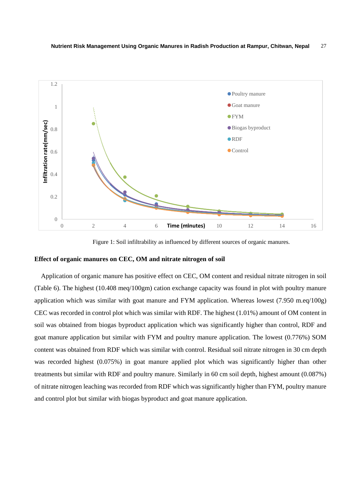

Figure 1: Soil infiltrability as influenced by different sources of organic manures.

#### **Effect of organic manures on CEC, OM and nitrate nitrogen of soil**

Application of organic manure has positive effect on CEC, OM content and residual nitrate nitrogen in soil (Table 6). The highest (10.408 meq/100gm) cation exchange capacity was found in plot with poultry manure application which was similar with goat manure and FYM application. Whereas lowest (7.950 m.eq/100g) CEC was recorded in control plot which was similar with RDF. The highest (1.01%) amount of OM content in soil was obtained from biogas byproduct application which was significantly higher than control, RDF and goat manure application but similar with FYM and poultry manure application. The lowest (0.776%) SOM content was obtained from RDF which was similar with control. Residual soil nitrate nitrogen in 30 cm depth was recorded highest (0.075%) in goat manure applied plot which was significantly higher than other treatments but similar with RDF and poultry manure. Similarly in 60 cm soil depth, highest amount (0.087%) of nitrate nitrogen leaching was recorded from RDF which was significantly higher than FYM, poultry manure and control plot but similar with biogas byproduct and goat manure application.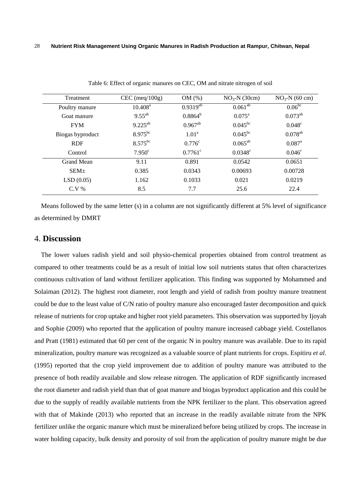| Treatment        | $CEC$ (meq/100g)    | OM(%)             | $NO3-N$ (30cm)     | $NO3-N$ (60 cm)      |
|------------------|---------------------|-------------------|--------------------|----------------------|
| Poultry manure   | $10.408^{\text{a}}$ | $0.9319^{ab}$     | $0.061^{ab}$       | $0.06^{bc}$          |
| Goat manure      | $9.55^{ab}$         | $0.8864^{b}$      | $0.075^{\text{a}}$ | $0.073^{ab}$         |
| <b>FYM</b>       | $9.225^{ab}$        | $0.967^{ab}$      | $0.045^{bc}$       | $0.048^{\circ}$      |
| Biogas byproduct | $8.975^{bc}$        | 1.01 <sup>a</sup> | $0.045^{bc}$       | $0.078^{ab}$         |
| <b>RDF</b>       | $8.575^{bc}$        | $0.776^{\circ}$   | $0.065^{ab}$       | $0.087$ <sup>a</sup> |
| Control          | $7.950^{\circ}$     | $0.7761^{\circ}$  | $0.0348^{\circ}$   | $0.046^{\circ}$      |
| Grand Mean       | 9.11                | 0.891             | 0.0542             | 0.0651               |
| SEM <sub>±</sub> | 0.385               | 0.0343            | 0.00693            | 0.00728              |
| LSD(0.05)        | 1.162               | 0.1033            | 0.021              | 0.0219               |
| $C.V.$ %         | 8.5                 | 7.7               | 25.6               | 22.4                 |

Table 6: Effect of organic manures on CEC, OM and nitrate nitrogen of soil

Means followed by the same letter (s) in a column are not significantly different at 5% level of significance as determined by DMRT

### 4. **Discussion**

The lower values radish yield and soil physio-chemical properties obtained from control treatment as compared to other treatments could be as a result of initial low soil nutrients status that often characterizes continuous cultivation of land without fertilizer application. This finding was supported by Mohammed and Solaiman (2012). The highest root diameter, root length and yield of radish from poultry manure treatment could be due to the least value of C/N ratio of poultry manure also encouraged faster decomposition and quick release of nutrients for crop uptake and higher root yield parameters. This observation was supported by Ijoyah and Sophie (2009) who reported that the application of poultry manure increased cabbage yield. Costellanos and Pratt (1981) estimated that 60 per cent of the organic N in poultry manure was available. Due to its rapid mineralization, poultry manure was recognized as a valuable source of plant nutrients for crops. Espitiru *et al.*  (1995) reported that the crop yield improvement due to addition of poultry manure was attributed to the presence of both readily available and slow release nitrogen. The application of RDF significantly increased the root diameter and radish yield than that of goat manure and biogas byproduct application and this could be due to the supply of readily available nutrients from the NPK fertilizer to the plant. This observation agreed with that of Makinde (2013) who reported that an increase in the readily available nitrate from the NPK fertilizer unlike the organic manure which must be mineralized before being utilized by crops. The increase in water holding capacity, bulk density and porosity of soil from the application of poultry manure might be due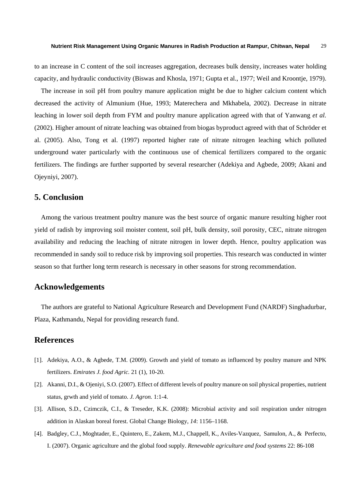to an increase in C content of the soil increases aggregation, decreases bulk density, increases water holding capacity, and hydraulic conductivity (Biswas and Khosla, 1971; Gupta et al., 1977; Weil and Kroontje, 1979).

The increase in soil pH from poultry manure application might be due to higher calcium content which decreased the activity of Almunium (Hue, 1993; Materechera and Mkhabela, 2002). Decrease in nitrate leaching in lower soil depth from FYM and poultry manure application agreed with that of Yanwang *et al.* (2002). Higher amount of nitrate leaching was obtained from biogas byproduct agreed with that of Schröder et al. (2005). Also, Tong et al. (1997) reported higher rate of nitrate nitrogen leaching which polluted underground water particularly with the continuous use of chemical fertilizers compared to the organic fertilizers. The findings are further supported by several researcher (Adekiya and Agbede, 2009; Akani and Ojeyniyi, 2007).

## **5. Conclusion**

Among the various treatment poultry manure was the best source of organic manure resulting higher root yield of radish by improving soil moister content, soil pH, bulk density, soil porosity, CEC, nitrate nitrogen availability and reducing the leaching of nitrate nitrogen in lower depth. Hence, poultry application was recommended in sandy soil to reduce risk by improving soil properties. This research was conducted in winter season so that further long term research is necessary in other seasons for strong recommendation.

#### **Acknowledgements**

The authors are grateful to National Agriculture Research and Development Fund (NARDF) Singhadurbar, Plaza, Kathmandu, Nepal for providing research fund.

## **References**

- [1]. Adekiya, A.O., & Agbede, T.M. (2009). Growth and yield of tomato as influenced by poultry manure and NPK fertilizers. *Emirates J. food Agric.* 21 (1), 10-20.
- [2]. Akanni, D.I., & Ojeniyi, S.O. (2007). Effect of different levels of poultry manure on soil physical properties, nutrient status, grwth and yield of tomato. *J. Agron.* 1:1-4.
- [3]. Allison, S.D., Czimczik, C.I., & Treseder, K.K. (2008): Microbial activity and soil respiration under nitrogen addition in Alaskan boreal forest. Global Change Biology, *14*: 1156–1168.
- [4]. Badgley, C.J., Moghtader, E., Quintero, E., Zakem, M.J., Chappell, K., Aviles-Vazquez, Samulon, A., & Perfecto, I. (2007). Organic agriculture and the global food supply. *Renewable agriculture and food systems* 22: 86-108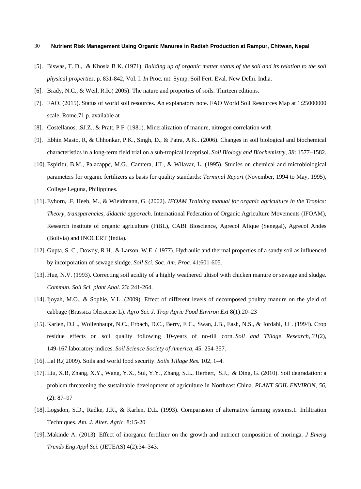- [5]. Biswas, T. D., & Khosla B K. (1971). *Building up of organic matter status of the soil and its relation to the soil physical properties*. p. 831-842, Vol. I. *In* Proc. mt. Symp. Soil Fert. Eval. New Delhi. India.
- [6]. Brady, N.C., & Weil, R.R.( 2005). The nature and properties of soils*.* Thirteen editions.
- [7]. FAO. (2015). Status of world soil resources. An explanatory note. FAO World Soil Resources Map at 1:25000000 scale, Rome.71 p. available at
- [8]. Costellanos, .SJ.Z., & Pratt, P F. (1981). Mineralization of manure, nitrogen correlation with
- [9]. Ebhin Masto, R, & Chhonkar, P.K., Singh, D., & Patra, A.K.. (2006). Changes in soil biological and biochemical characteristics in a long-term field trial on a sub-tropical inceptisol. *Soil Biology and Biochemistry*, *38*: 1577–1582.
- [10]. Espiritu, B.M., Palacappc, M.G., Camtera, JJL, & Wllavar, L. (1995). Studies on chemical and microbiological parameters for organic fertilizers as basis for quality standards: *Terminal Report* (November, 1994 to May, 1995), College Leguna, Philippines.
- [11]. Eyhorn, .F, Heeb, M., & Wieidmann, G. (2002). *IFOAM Training manual for organic agriculture in the Tropics: Theory, transparencies, didactic apporach*. International Federation of Organic Agriculture Movements (IFOAM), Research institute of organic agriculture (FiBL), CABI Bioscience, Agrecol Afique (Senegal), Agrecol Andes (Bolivia) and INOCERT (India).
- [12]. Gupta, S. C., Dowdy, R H., & Larson, W.E. ( 1977). Hydraulic and thermal properties of a sandy soil as influenced by incorporation of sewage sludge. *Soil Sci. Soc. Am. Proc.* 41:601-605.
- [13]. Hue, N.V. (1993). Correcting soil acidity of a highly weathered ultisol with chicken manure or sewage and sludge. *Commun. Soil Sci. plant Anal.* 23: 241-264.
- [14]. Ijoyah, M.O., & Sophie, V.L. (2009). Effect of different levels of decomposed poultry manure on the yield of cabbage (Brassica Oleraceae L). *Agro Sci. J. Trop Agric Food Environ Ext* 8(1):20–23
- [15]. Karlen, D.L., Wollenhaupt, N.C., Erbach, D.C., Berry, E C., Swan, J.B., Eash, N.S., & Jordahl, J.L. (1994). Crop residue effects on soil quality following 10-years of no-till corn. *Soil and Tillage Research*, *31*(2), 149-167.laboratory indices. *Soil Science Society of America*, 45: 254-357.
- [16]. Lal R.( 2009). Soils and world food security. *Soils Tillage Res.* 102, 1–4.
- [17]. Liu, X.B, Zhang, X.Y., Wang, Y.X., Sui, Y.Y., Zhang, S.L., Herbert, S.J., & Ding, G. (2010). Soil degradation: a problem threatening the sustainable development of agriculture in Northeast China. *PLANT SOIL ENVIRON*, *56*, (2): 87–97
- [18]. Logsdon, S.D., Radke, J.K., & Karlen, D.L. (1993). Comparasion of alternative farming systems.1. Infiltration Techniques. *Am. J. Alter. Agric.* 8:15-20
- [19]. Makinde A. (2013). Effect of inorganic fertilizer on the growth and nutrient composition of moringa. *J Emerg Trends Eng Appl Sci.* (JETEAS) 4(2):34–343.